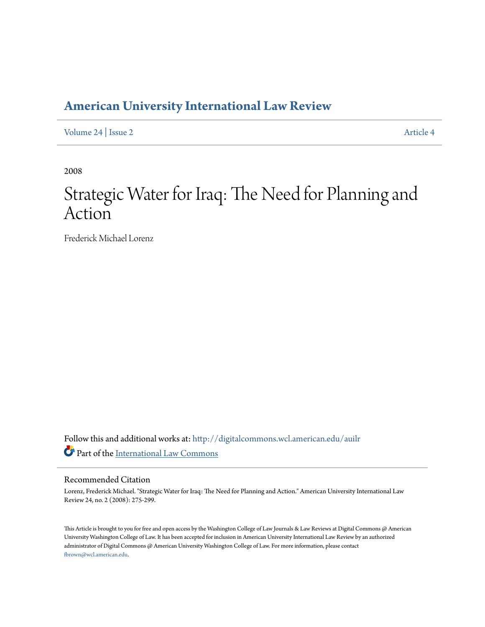# **[American University International Law Review](http://digitalcommons.wcl.american.edu/auilr?utm_source=digitalcommons.wcl.american.edu%2Fauilr%2Fvol24%2Fiss2%2F4&utm_medium=PDF&utm_campaign=PDFCoverPages)**

[Volume 24](http://digitalcommons.wcl.american.edu/auilr/vol24?utm_source=digitalcommons.wcl.american.edu%2Fauilr%2Fvol24%2Fiss2%2F4&utm_medium=PDF&utm_campaign=PDFCoverPages) | [Issue 2](http://digitalcommons.wcl.american.edu/auilr/vol24/iss2?utm_source=digitalcommons.wcl.american.edu%2Fauilr%2Fvol24%2Fiss2%2F4&utm_medium=PDF&utm_campaign=PDFCoverPages) [Article 4](http://digitalcommons.wcl.american.edu/auilr/vol24/iss2/4?utm_source=digitalcommons.wcl.american.edu%2Fauilr%2Fvol24%2Fiss2%2F4&utm_medium=PDF&utm_campaign=PDFCoverPages)

2008

# Strategic Water for Iraq: The Need for Planning and Action

Frederick Michael Lorenz

Follow this and additional works at: [http://digitalcommons.wcl.american.edu/auilr](http://digitalcommons.wcl.american.edu/auilr?utm_source=digitalcommons.wcl.american.edu%2Fauilr%2Fvol24%2Fiss2%2F4&utm_medium=PDF&utm_campaign=PDFCoverPages) Part of the [International Law Commons](http://network.bepress.com/hgg/discipline/609?utm_source=digitalcommons.wcl.american.edu%2Fauilr%2Fvol24%2Fiss2%2F4&utm_medium=PDF&utm_campaign=PDFCoverPages)

#### Recommended Citation

Lorenz, Frederick Michael. "Strategic Water for Iraq: The Need for Planning and Action." American University International Law Review 24, no. 2 (2008): 275-299.

This Article is brought to you for free and open access by the Washington College of Law Journals & Law Reviews at Digital Commons @ American University Washington College of Law. It has been accepted for inclusion in American University International Law Review by an authorized administrator of Digital Commons @ American University Washington College of Law. For more information, please contact [fbrown@wcl.american.edu](mailto:fbrown@wcl.american.edu).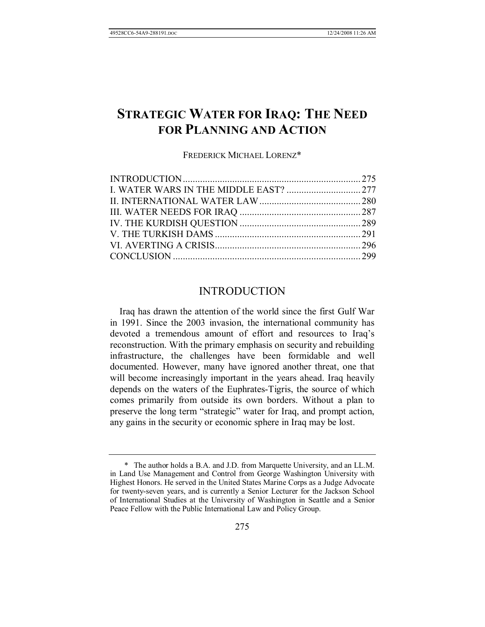# **STRATEGIC WATER FOR IRAQ: THE NEED FOR PLANNING AND ACTION**

FREDERICK MICHAEL LORENZ\*

#### INTRODUCTION

Iraq has drawn the attention of the world since the first Gulf War in 1991. Since the 2003 invasion, the international community has devoted a tremendous amount of effort and resources to Iraq's reconstruction. With the primary emphasis on security and rebuilding infrastructure, the challenges have been formidable and well documented. However, many have ignored another threat, one that will become increasingly important in the years ahead. Iraq heavily depends on the waters of the Euphrates-Tigris, the source of which comes primarily from outside its own borders. Without a plan to preserve the long term "strategic" water for Iraq, and prompt action, any gains in the security or economic sphere in Iraq may be lost.

 <sup>\*</sup> The author holds a B.A. and J.D. from Marquette University, and an LL.M. in Land Use Management and Control from George Washington University with Highest Honors. He served in the United States Marine Corps as a Judge Advocate for twenty-seven years, and is currently a Senior Lecturer for the Jackson School of International Studies at the University of Washington in Seattle and a Senior Peace Fellow with the Public International Law and Policy Group.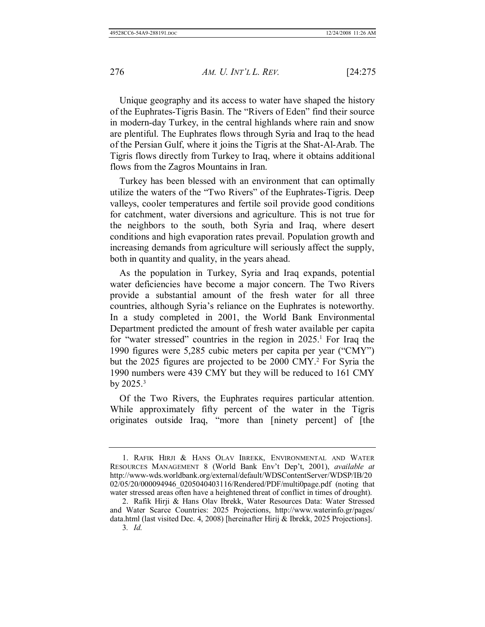Unique geography and its access to water have shaped the history of the Euphrates-Tigris Basin. The "Rivers of Eden" find their source in modern-day Turkey, in the central highlands where rain and snow are plentiful. The Euphrates flows through Syria and Iraq to the head of the Persian Gulf, where it joins the Tigris at the Shat-Al-Arab. The Tigris flows directly from Turkey to Iraq, where it obtains additional flows from the Zagros Mountains in Iran.

Turkey has been blessed with an environment that can optimally utilize the waters of the "Two Rivers" of the Euphrates-Tigris. Deep valleys, cooler temperatures and fertile soil provide good conditions for catchment, water diversions and agriculture. This is not true for the neighbors to the south, both Syria and Iraq, where desert conditions and high evaporation rates prevail. Population growth and increasing demands from agriculture will seriously affect the supply, both in quantity and quality, in the years ahead.

As the population in Turkey, Syria and Iraq expands, potential water deficiencies have become a major concern. The Two Rivers provide a substantial amount of the fresh water for all three countries, although Syria's reliance on the Euphrates is noteworthy. In a study completed in 2001, the World Bank Environmental Department predicted the amount of fresh water available per capita for "water stressed" countries in the region in  $2025$ .<sup>1</sup> For Iraq the 1990 figures were 5,285 cubic meters per capita per year ("CMY") but the 2025 figures are projected to be 2000 CMY.2 For Syria the 1990 numbers were 439 CMY but they will be reduced to 161 CMY by  $2025.^3$ 

Of the Two Rivers, the Euphrates requires particular attention. While approximately fifty percent of the water in the Tigris originates outside Iraq, "more than [ninety percent] of [the

 <sup>1.</sup> RAFIK HIRJI & HANS OLAV IBREKK, ENVIRONMENTAL AND WATER RESOURCES MANAGEMENT 8 (World Bank Env't Dep't, 2001), *available at* http://www-wds.worldbank.org/external/default/WDSContentServer/WDSP/IB/20 02/05/20/000094946\_0205040403116/Rendered/PDF/multi0page.pdf (noting that water stressed areas often have a heightened threat of conflict in times of drought).

 <sup>2.</sup> Rafik Hirji & Hans Olav Ibrekk, Water Resources Data: Water Stressed and Water Scarce Countries: 2025 Projections, http://www.waterinfo.gr/pages/ data.html (last visited Dec. 4, 2008) [hereinafter Hirij & Ibrekk, 2025 Projections]. 3*. Id.*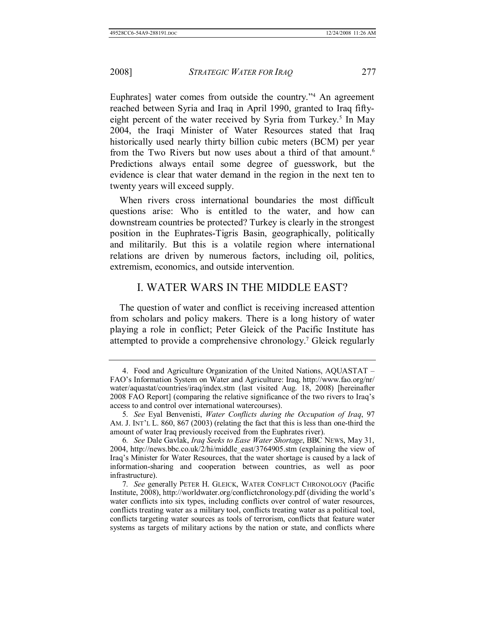Euphrates] water comes from outside the country."4 An agreement reached between Syria and Iraq in April 1990, granted to Iraq fiftyeight percent of the water received by Syria from Turkey.<sup>5</sup> In May 2004, the Iraqi Minister of Water Resources stated that Iraq historically used nearly thirty billion cubic meters (BCM) per year from the Two Rivers but now uses about a third of that amount.<sup>6</sup> Predictions always entail some degree of guesswork, but the evidence is clear that water demand in the region in the next ten to twenty years will exceed supply.

When rivers cross international boundaries the most difficult questions arise: Who is entitled to the water, and how can downstream countries be protected? Turkey is clearly in the strongest position in the Euphrates-Tigris Basin, geographically, politically and militarily. But this is a volatile region where international relations are driven by numerous factors, including oil, politics, extremism, economics, and outside intervention.

#### I. WATER WARS IN THE MIDDLE EAST?

The question of water and conflict is receiving increased attention from scholars and policy makers. There is a long history of water playing a role in conflict; Peter Gleick of the Pacific Institute has attempted to provide a comprehensive chronology.7 Gleick regularly

 <sup>4.</sup> Food and Agriculture Organization of the United Nations, AQUASTAT – FAO's Information System on Water and Agriculture: Iraq, http://www.fao.org/nr/ water/aquastat/countries/iraq/index.stm (last visited Aug. 18, 2008) [hereinafter 2008 FAO Report] (comparing the relative significance of the two rivers to Iraq's access to and control over international watercourses).

<sup>5</sup>*. See* Eyal Benvenisti, *Water Conflicts during the Occupation of Iraq*, 97 AM. J. INT'L L. 860, 867 (2003) (relating the fact that this is less than one-third the amount of water Iraq previously received from the Euphrates river).

<sup>6</sup>*. See* Dale Gavlak, *Iraq Seeks to Ease Water Shortage*, BBC NEWS, May 31, 2004, http://news.bbc.co.uk/2/hi/middle\_east/3764905.stm (explaining the view of Iraq's Minister for Water Resources, that the water shortage is caused by a lack of information-sharing and cooperation between countries, as well as poor infrastructure).

<sup>7</sup>*. See* generally PETER H. GLEICK, WATER CONFLICT CHRONOLOGY (Pacific Institute, 2008), http://worldwater.org/conflictchronology.pdf (dividing the world's water conflicts into six types, including conflicts over control of water resources, conflicts treating water as a military tool, conflicts treating water as a political tool, conflicts targeting water sources as tools of terrorism, conflicts that feature water systems as targets of military actions by the nation or state, and conflicts where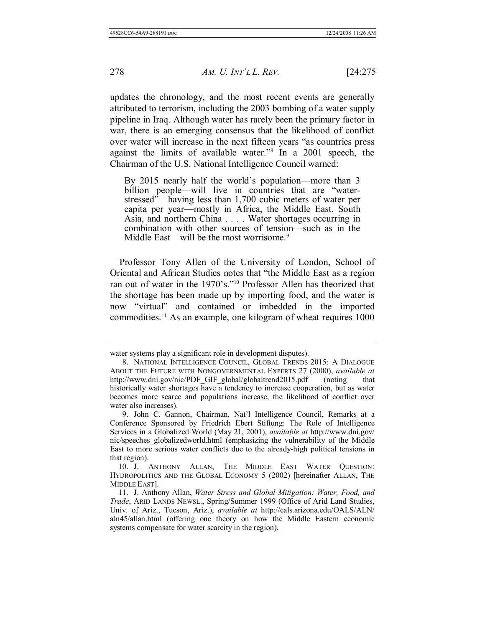updates the chronology, and the most recent events are generally attributed to terrorism, including the 2003 bombing of a water supply pipeline in Iraq. Although water has rarely been the primary factor in war, there is an emerging consensus that the likelihood of conflict over water will increase in the next fifteen years "as countries press against the limits of available water."8 In a 2001 speech, the Chairman of the U.S. National Intelligence Council warned:

By 2015 nearly half the world's population—more than 3 billion people—will live in countries that are "waterstressed"—having less than 1,700 cubic meters of water per capita per year—mostly in Africa, the Middle East, South Asia, and northern China . . . . Water shortages occurring in combination with other sources of tension—such as in the Middle East—will be the most worrisome.<sup>9</sup>

Professor Tony Allen of the University of London, School of Oriental and African Studies notes that "the Middle East as a region ran out of water in the 1970's."10 Professor Allen has theorized that the shortage has been made up by importing food, and the water is now "virtual" and contained or imbedded in the imported commodities.11 As an example, one kilogram of wheat requires 1000

water systems play a significant role in development disputes).

 <sup>8.</sup> NATIONAL INTELLIGENCE COUNCIL, GLOBAL TRENDS 2015: A DIALOGUE ABOUT THE FUTURE WITH NONGOVERNMENTAL EXPERTS 27 (2000), *available at* http://www.dni.gov/nic/PDF\_GIF\_global/globaltrend2015.pdf (noting that historically water shortages have a tendency to increase cooperation, but as water becomes more scarce and populations increase, the likelihood of conflict over water also increases).

 <sup>9.</sup> John C. Gannon, Chairman, Nat'l Intelligence Council, Remarks at a Conference Sponsored by Friedrich Ebert Stiftung: The Role of Intelligence Services in a Globalized World (May 21, 2001), *available at* http://www.dni.gov/ nic/speeches\_globalizedworld.html (emphasizing the vulnerability of the Middle East to more serious water conflicts due to the already-high political tensions in that region).

 <sup>10.</sup> J. ANTHONY ALLAN, THE MIDDLE EAST WATER QUESTION: HYDROPOLITICS AND THE GLOBAL ECONOMY 5 (2002) [hereinafter ALLAN, THE MIDDLE EAST].

 <sup>11.</sup> J. Anthony Allan, *Water Stress and Global Mitigation: Water, Food, and Trade*, ARID LANDS NEWSL., Spring/Summer 1999 (Office of Arid Land Studies, Univ. of Ariz., Tucson, Ariz.), *available at* http://cals.arizona.edu/OALS/ALN/ aln45/allan.html (offering one theory on how the Middle Eastern economic systems compensate for water scarcity in the region).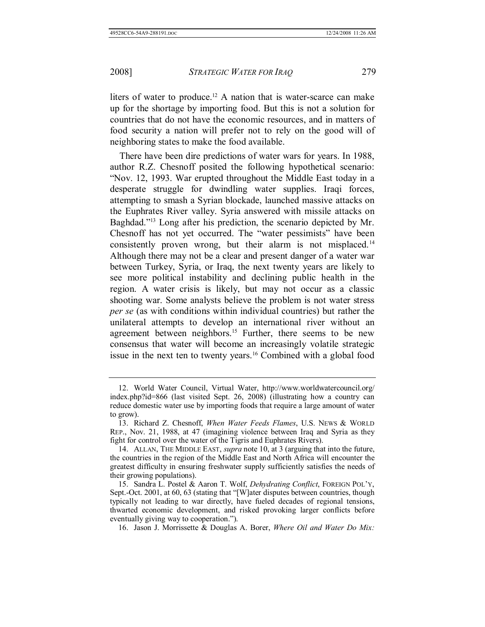liters of water to produce.<sup>12</sup> A nation that is water-scarce can make up for the shortage by importing food. But this is not a solution for countries that do not have the economic resources, and in matters of food security a nation will prefer not to rely on the good will of neighboring states to make the food available.

There have been dire predictions of water wars for years. In 1988, author R.Z. Chesnoff posited the following hypothetical scenario: "Nov. 12, 1993. War erupted throughout the Middle East today in a desperate struggle for dwindling water supplies. Iraqi forces, attempting to smash a Syrian blockade, launched massive attacks on the Euphrates River valley. Syria answered with missile attacks on Baghdad."13 Long after his prediction, the scenario depicted by Mr. Chesnoff has not yet occurred. The "water pessimists" have been consistently proven wrong, but their alarm is not misplaced.14 Although there may not be a clear and present danger of a water war between Turkey, Syria, or Iraq, the next twenty years are likely to see more political instability and declining public health in the region. A water crisis is likely, but may not occur as a classic shooting war. Some analysts believe the problem is not water stress *per se* (as with conditions within individual countries) but rather the unilateral attempts to develop an international river without an agreement between neighbors.<sup>15</sup> Further, there seems to be new consensus that water will become an increasingly volatile strategic issue in the next ten to twenty years.16 Combined with a global food

 <sup>12.</sup> World Water Council, Virtual Water, http://www.worldwatercouncil.org/ index.php?id=866 (last visited Sept. 26, 2008) (illustrating how a country can reduce domestic water use by importing foods that require a large amount of water to grow).

 <sup>13.</sup> Richard Z. Chesnoff, *When Water Feeds Flames*, U.S. NEWS & WORLD REP., Nov. 21, 1988, at 47 (imagining violence between Iraq and Syria as they fight for control over the water of the Tigris and Euphrates Rivers).

 <sup>14.</sup> ALLAN, THE MIDDLE EAST, *supra* note 10, at 3 (arguing that into the future, the countries in the region of the Middle East and North Africa will encounter the greatest difficulty in ensuring freshwater supply sufficiently satisfies the needs of their growing populations).

 <sup>15.</sup> Sandra L. Postel & Aaron T. Wolf, *Dehydrating Conflict*, FOREIGN POL'Y, Sept.-Oct. 2001, at 60, 63 (stating that "[W]ater disputes between countries, though typically not leading to war directly, have fueled decades of regional tensions, thwarted economic development, and risked provoking larger conflicts before eventually giving way to cooperation.").

 <sup>16.</sup> Jason J. Morrissette & Douglas A. Borer, *Where Oil and Water Do Mix:*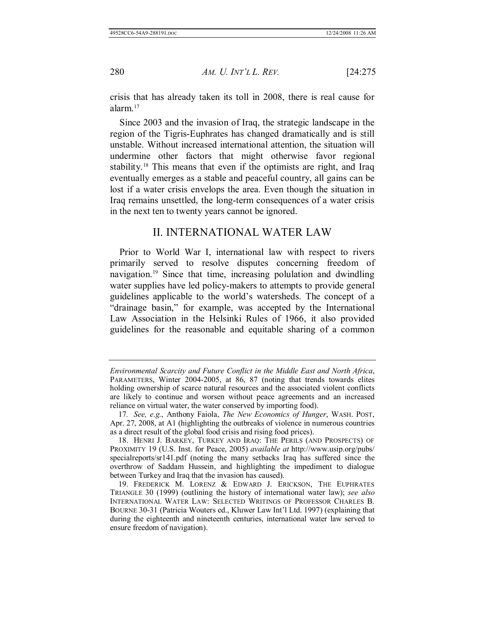crisis that has already taken its toll in 2008, there is real cause for alarm.17

Since 2003 and the invasion of Iraq, the strategic landscape in the region of the Tigris-Euphrates has changed dramatically and is still unstable. Without increased international attention, the situation will undermine other factors that might otherwise favor regional stability.18 This means that even if the optimists are right, and Iraq eventually emerges as a stable and peaceful country, all gains can be lost if a water crisis envelops the area. Even though the situation in Iraq remains unsettled, the long-term consequences of a water crisis in the next ten to twenty years cannot be ignored.

### II. INTERNATIONAL WATER LAW

Prior to World War I, international law with respect to rivers primarily served to resolve disputes concerning freedom of navigation.19 Since that time, increasing polulation and dwindling water supplies have led policy-makers to attempts to provide general guidelines applicable to the world's watersheds. The concept of a "drainage basin," for example, was accepted by the International Law Association in the Helsinki Rules of 1966, it also provided guidelines for the reasonable and equitable sharing of a common

*Environmental Scarcity and Future Conflict in the Middle East and North Africa*, PARAMETERS, Winter 2004-2005, at 86, 87 (noting that trends towards elites holding ownership of scarce natural resources and the associated violent conflicts are likely to continue and worsen without peace agreements and an increased reliance on virtual water, the water conserved by importing food).

<sup>17</sup>*. See, e.g.*, Anthony Faiola, *The New Economics of Hunger*, WASH. POST, Apr. 27, 2008, at A1 (highlighting the outbreaks of violence in numerous countries as a direct result of the global food crisis and rising food prices).

 <sup>18.</sup> HENRI J. BARKEY, TURKEY AND IRAQ: THE PERILS (AND PROSPECTS) OF PROXIMITY 19 (U.S. Inst. for Peace, 2005) *available at* http://www.usip.org/pubs/ specialreports/sr141.pdf (noting the many setbacks Iraq has suffered since the overthrow of Saddam Hussein, and highlighting the impediment to dialogue between Turkey and Iraq that the invasion has caused).

 <sup>19.</sup> FREDERICK M. LORENZ & EDWARD J. ERICKSON, THE EUPHRATES TRIANGLE 30 (1999) (outlining the history of international water law); *see also* INTERNATIONAL WATER LAW: SELECTED WRITINGS OF PROFESSOR CHARLES B. BOURNE 30-31 (Patricia Wouters ed., Kluwer Law Int'l Ltd. 1997) (explaining that during the eighteenth and nineteenth centuries, international water law served to ensure freedom of navigation).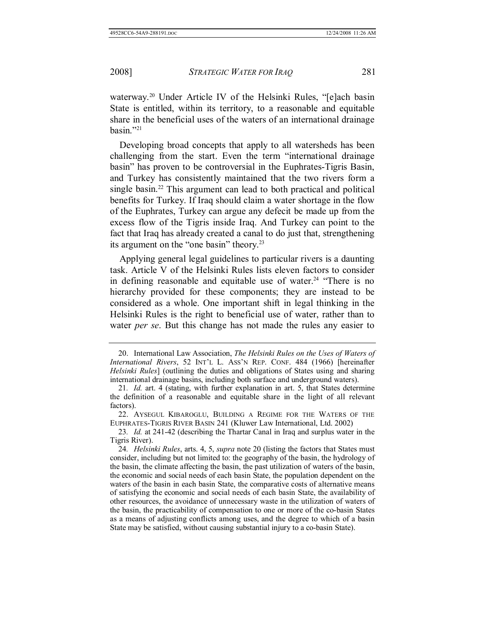waterway.<sup>20</sup> Under Article IV of the Helsinki Rules, "[e]ach basin State is entitled, within its territory, to a reasonable and equitable share in the beneficial uses of the waters of an international drainage basin."21

Developing broad concepts that apply to all watersheds has been challenging from the start. Even the term "international drainage basin" has proven to be controversial in the Euphrates-Tigris Basin, and Turkey has consistently maintained that the two rivers form a single basin.<sup>22</sup> This argument can lead to both practical and political benefits for Turkey. If Iraq should claim a water shortage in the flow of the Euphrates, Turkey can argue any defecit be made up from the excess flow of the Tigris inside Iraq. And Turkey can point to the fact that Iraq has already created a canal to do just that, strengthening its argument on the "one basin" theory.23

Applying general legal guidelines to particular rivers is a daunting task. Article V of the Helsinki Rules lists eleven factors to consider in defining reasonable and equitable use of water.<sup>24</sup> "There is no hierarchy provided for these components; they are instead to be considered as a whole. One important shift in legal thinking in the Helsinki Rules is the right to beneficial use of water, rather than to water *per se*. But this change has not made the rules any easier to

 <sup>20.</sup> International Law Association, *The Helsinki Rules on the Uses of Waters of International Rivers*, 52 INT'L L. ASS'N REP. CONF. 484 (1966) [hereinafter *Helsinki Rules*] (outlining the duties and obligations of States using and sharing international drainage basins, including both surface and underground waters).

<sup>21</sup>*. Id.* art. 4 (stating, with further explanation in art. 5, that States determine the definition of a reasonable and equitable share in the light of all relevant factors).

 <sup>22.</sup> AYSEGUL KIBAROGLU, BUILDING A REGIME FOR THE WATERS OF THE EUPHRATES-TIGRIS RIVER BASIN 241 (Kluwer Law International, Ltd. 2002)

<sup>23</sup>*. Id.* at 241-42 (describing the Thartar Canal in Iraq and surplus water in the Tigris River).

<sup>24</sup>*. Helsinki Rules*, arts. 4, 5, *supra* note 20 (listing the factors that States must consider, including but not limited to: the geography of the basin, the hydrology of the basin, the climate affecting the basin, the past utilization of waters of the basin, the economic and social needs of each basin State, the population dependent on the waters of the basin in each basin State, the comparative costs of alternative means of satisfying the economic and social needs of each basin State, the availability of other resources, the avoidance of unnecessary waste in the utilization of waters of the basin, the practicability of compensation to one or more of the co-basin States as a means of adjusting conflicts among uses, and the degree to which of a basin State may be satisfied, without causing substantial injury to a co-basin State).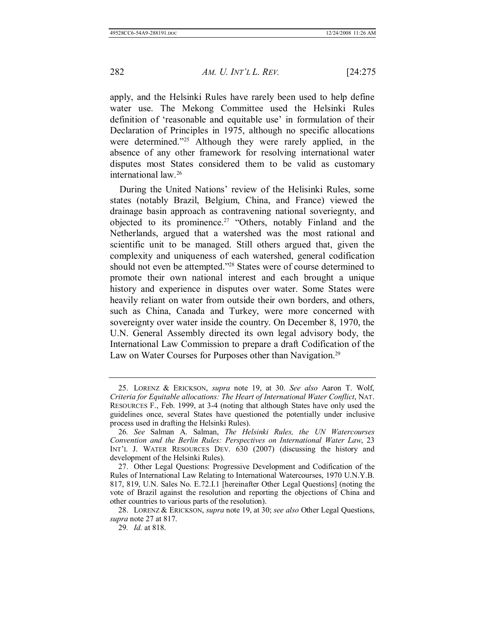apply, and the Helsinki Rules have rarely been used to help define water use. The Mekong Committee used the Helsinki Rules definition of 'reasonable and equitable use' in formulation of their Declaration of Principles in 1975, although no specific allocations were determined."<sup>25</sup> Although they were rarely applied, in the absence of any other framework for resolving international water disputes most States considered them to be valid as customary international law.26

During the United Nations' review of the Helisinki Rules, some states (notably Brazil, Belgium, China, and France) viewed the drainage basin approach as contravening national soveriegnty, and objected to its prominence.<sup>27</sup> "Others, notably Finland and the Netherlands, argued that a watershed was the most rational and scientific unit to be managed. Still others argued that, given the complexity and uniqueness of each watershed, general codification should not even be attempted."28 States were of course determined to promote their own national interest and each brought a unique history and experience in disputes over water. Some States were heavily reliant on water from outside their own borders, and others, such as China, Canada and Turkey, were more concerned with sovereignty over water inside the country. On December 8, 1970, the U.N. General Assembly directed its own legal advisory body, the International Law Commission to prepare a draft Codification of the Law on Water Courses for Purposes other than Navigation.<sup>29</sup>

 <sup>25.</sup> LORENZ & ERICKSON, *supra* note 19, at 30. *See also* Aaron T. Wolf, *Criteria for Equitable allocations: The Heart of International Water Conflict*, NAT. RESOURCES F., Feb. 1999, at 3-4 (noting that although States have only used the guidelines once, several States have questioned the potentially under inclusive process used in drafting the Helsinki Rules).

<sup>26</sup>*. See* Salman A. Salman, *The Helsinki Rules, the UN Watercourses Convention and the Berlin Rules: Perspectives on International Water Law*, 23 INT'L J. WATER RESOURCES DEV. 630 (2007) (discussing the history and development of the Helsinki Rules).

 <sup>27.</sup> Other Legal Questions: Progressive Development and Codification of the Rules of International Law Relating to International Watercourses, 1970 U.N.Y.B. 817, 819, U.N. Sales No. E.72.I.1 [hereinafter Other Legal Questions] (noting the vote of Brazil against the resolution and reporting the objections of China and other countries to various parts of the resolution).

 <sup>28.</sup> LORENZ & ERICKSON, *supra* note 19, at 30; *see also* Other Legal Questions, *supra* note 27 at 817.

<sup>29</sup>*. Id.* at 818.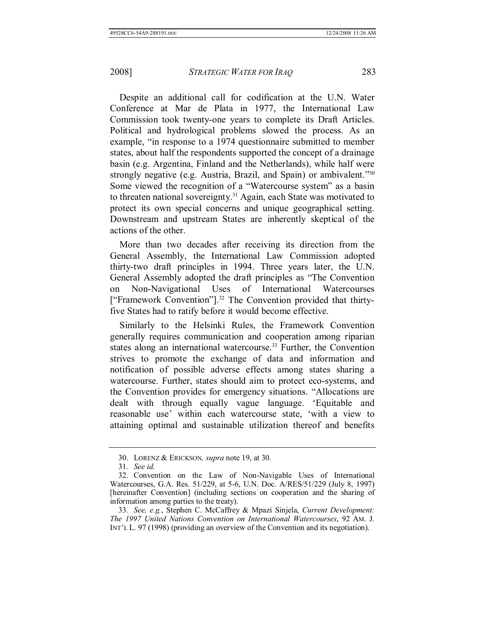Despite an additional call for codification at the U.N. Water Conference at Mar de Plata in 1977, the International Law Commission took twenty-one years to complete its Draft Articles. Political and hydrological problems slowed the process. As an example, "in response to a 1974 questionnaire submitted to member states, about half the respondents supported the concept of a drainage basin (e.g. Argentina, Finland and the Netherlands), while half were strongly negative (e.g. Austria, Brazil, and Spain) or ambivalent."30 Some viewed the recognition of a "Watercourse system" as a basin to threaten national sovereignty.31 Again, each State was motivated to protect its own special concerns and unique geographical setting. Downstream and upstream States are inherently skeptical of the actions of the other.

More than two decades after receiving its direction from the General Assembly, the International Law Commission adopted thirty-two draft principles in 1994. Three years later, the U.N. General Assembly adopted the draft principles as "The Convention on Non-Navigational Uses of International Watercourses ["Framework Convention"].32 The Convention provided that thirtyfive States had to ratify before it would become effective.

Similarly to the Helsinki Rules, the Framework Convention generally requires communication and cooperation among riparian states along an international watercourse.<sup>33</sup> Further, the Convention strives to promote the exchange of data and information and notification of possible adverse effects among states sharing a watercourse. Further, states should aim to protect eco-systems, and the Convention provides for emergency situations. "Allocations are dealt with through equally vague language. 'Equitable and reasonable use' within each watercourse state, 'with a view to attaining optimal and sustainable utilization thereof and benefits

 <sup>30.</sup> LORENZ & ERICKSON*, supra* note 19, at 30.

<sup>31</sup>*. See id.*

 <sup>32.</sup> Convention on the Law of Non-Navigable Uses of International Watercourses, G.A. Res. 51/229, at 5-6, U.N. Doc. A/RES/51/229 (July 8, 1997) [hereinafter Convention] (including sections on cooperation and the sharing of information among parties to the treaty).

<sup>33</sup>*. See, e.g.*, Stephen C. McCaffrey & Mpazi Sinjela, *Current Development: The 1997 United Nations Convention on International Watercourses*, 92 AM. J. INT'L L. 97 (1998) (providing an overview of the Convention and its negotiation).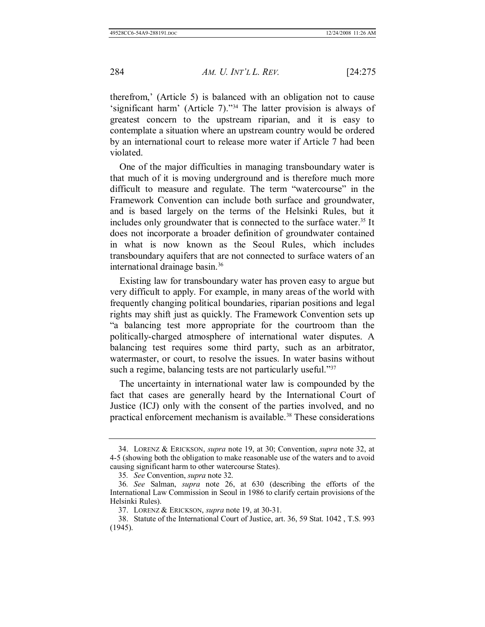therefrom,' (Article 5) is balanced with an obligation not to cause 'significant harm' (Article 7)."34 The latter provision is always of greatest concern to the upstream riparian, and it is easy to contemplate a situation where an upstream country would be ordered by an international court to release more water if Article 7 had been violated.

One of the major difficulties in managing transboundary water is that much of it is moving underground and is therefore much more difficult to measure and regulate. The term "watercourse" in the Framework Convention can include both surface and groundwater, and is based largely on the terms of the Helsinki Rules, but it includes only groundwater that is connected to the surface water.<sup>35</sup> It does not incorporate a broader definition of groundwater contained in what is now known as the Seoul Rules, which includes transboundary aquifers that are not connected to surface waters of an international drainage basin.<sup>36</sup>

Existing law for transboundary water has proven easy to argue but very difficult to apply. For example, in many areas of the world with frequently changing political boundaries, riparian positions and legal rights may shift just as quickly. The Framework Convention sets up "a balancing test more appropriate for the courtroom than the politically-charged atmosphere of international water disputes. A balancing test requires some third party, such as an arbitrator, watermaster, or court, to resolve the issues. In water basins without such a regime, balancing tests are not particularly useful."<sup>37</sup>

The uncertainty in international water law is compounded by the fact that cases are generally heard by the International Court of Justice (ICJ) only with the consent of the parties involved, and no practical enforcement mechanism is available.<sup>38</sup> These considerations

 <sup>34.</sup> LORENZ & ERICKSON, *supra* note 19, at 30; Convention, *supra* note 32, at 4-5 (showing both the obligation to make reasonable use of the waters and to avoid causing significant harm to other watercourse States).

<sup>35</sup>*. See* Convention, *supra* note 32.

<sup>36</sup>*. See* Salman, *supra* note 26, at 630 (describing the efforts of the International Law Commission in Seoul in 1986 to clarify certain provisions of the Helsinki Rules).

 <sup>37.</sup> LORENZ & ERICKSON, *supra* note 19, at 30-31.

 <sup>38.</sup> Statute of the International Court of Justice, art. 36, 59 Stat. 1042 , T.S. 993 (1945).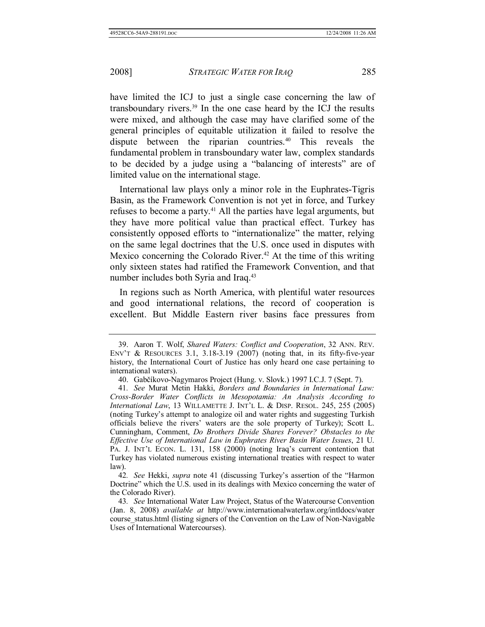have limited the ICJ to just a single case concerning the law of transboundary rivers. $39$  In the one case heard by the ICJ the results were mixed, and although the case may have clarified some of the general principles of equitable utilization it failed to resolve the dispute between the riparian countries.<sup>40</sup> This reveals the fundamental problem in transboundary water law, complex standards to be decided by a judge using a "balancing of interests" are of limited value on the international stage.

International law plays only a minor role in the Euphrates-Tigris Basin, as the Framework Convention is not yet in force, and Turkey refuses to become a party.<sup>41</sup> All the parties have legal arguments, but they have more political value than practical effect. Turkey has consistently opposed efforts to "internationalize" the matter, relying on the same legal doctrines that the U.S. once used in disputes with Mexico concerning the Colorado River.<sup>42</sup> At the time of this writing only sixteen states had ratified the Framework Convention, and that number includes both Syria and Iraq.<sup>43</sup>

 In regions such as North America, with plentiful water resources and good international relations, the record of cooperation is excellent. But Middle Eastern river basins face pressures from

 <sup>39.</sup> Aaron T. Wolf, *Shared Waters: Conflict and Cooperation*, 32 ANN. REV. ENV'T  $\&$  RESOURCES 3.1, 3.18-3.19 (2007) (noting that, in its fifty-five-year history, the International Court of Justice has only heard one case pertaining to international waters).

 <sup>40.</sup> Gabčíkovo-Nagymaros Project (Hung. v. Slovk.) 1997 I.C.J. 7 (Sept. 7).

<sup>41</sup>*. See* Murat Metin Hakki, *Borders and Boundaries in International Law: Cross-Border Water Conflicts in Mesopotamia: An Analysis According to International Law*, 13 WILLAMETTE J. INT'L L. & DISP. RESOL. 245, 255 (2005) (noting Turkey's attempt to analogize oil and water rights and suggesting Turkish officials believe the rivers' waters are the sole property of Turkey); Scott L. Cunningham, Comment, *Do Brothers Divide Shares Forever? Obstacles to the Effective Use of International Law in Euphrates River Basin Water Issues*, 21 U. PA. J. INT'L ECON. L. 131, 158 (2000) (noting Iraq's current contention that Turkey has violated numerous existing international treaties with respect to water law).

<sup>42</sup>*. See* Hekki, *supra* note 41 (discussing Turkey's assertion of the "Harmon Doctrine" which the U.S. used in its dealings with Mexico concerning the water of the Colorado River).

<sup>43</sup>*. See* International Water Law Project, Status of the Watercourse Convention (Jan. 8, 2008) *available at* http://www.internationalwaterlaw.org/intldocs/water course status.html (listing signers of the Convention on the Law of Non-Navigable Uses of International Watercourses).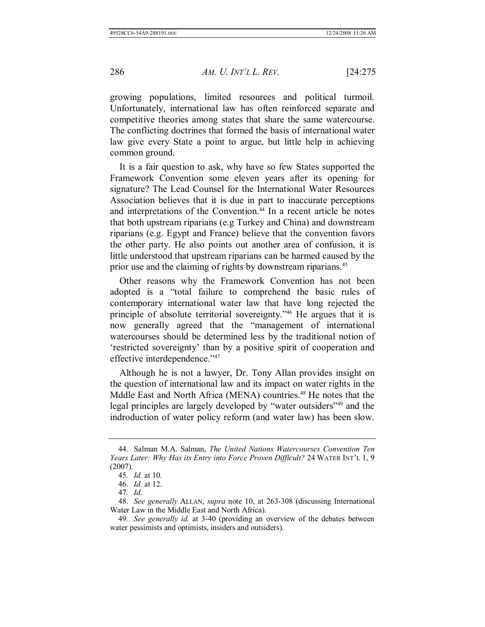growing populations, limited resources and political turmoil. Unfortunately, international law has often reinforced separate and competitive theories among states that share the same watercourse. The conflicting doctrines that formed the basis of international water law give every State a point to argue, but little help in achieving common ground.

It is a fair question to ask, why have so few States supported the Framework Convention some eleven years after its opening for signature? The Lead Counsel for the International Water Resources Association believes that it is due in part to inaccurate perceptions and interpretations of the Convention.<sup>44</sup> In a recent article he notes that both upstream riparians (e.g Turkey and China) and downstream riparians (e.g. Egypt and France) believe that the convention favors the other party. He also points out another area of confusion, it is little understood that upstream riparians can be harmed caused by the prior use and the claiming of rights by downstream riparians.<sup>45</sup>

Other reasons why the Framework Convention has not been adopted is a "total failure to comprehend the basic rules of contemporary international water law that have long rejected the principle of absolute territorial sovereignty."46 He argues that it is now generally agreed that the "management of international watercourses should be determined less by the traditional notion of 'restricted sovereignty' than by a positive spirit of cooperation and effective interdependence."47

Although he is not a lawyer, Dr. Tony Allan provides insight on the question of international law and its impact on water rights in the Mddle East and North Africa (MENA) countries.<sup>48</sup> He notes that the legal principles are largely developed by "water outsiders"49 and the indroduction of water policy reform (and water law) has been slow.

 <sup>44.</sup> Salman M.A. Salman, *The United Nations Watercourses Convention Ten Years Later: Why Has its Entry into Force Proven Difficult?* 24 WATER INT'L 1, 9 (2007).

<sup>45</sup>*. Id.* at 10.

<sup>46</sup>*. Id.* at 12.

<sup>47</sup>*. Id.*

 <sup>48.</sup> *See generally* ALLAN, *supra* note 10, at 263-308 (discussing International Water Law in the Middle East and North Africa).

<sup>49</sup>*. See generally id.* at 3-40 (providing an overview of the debates between water pessimists and optimists, insiders and outsiders).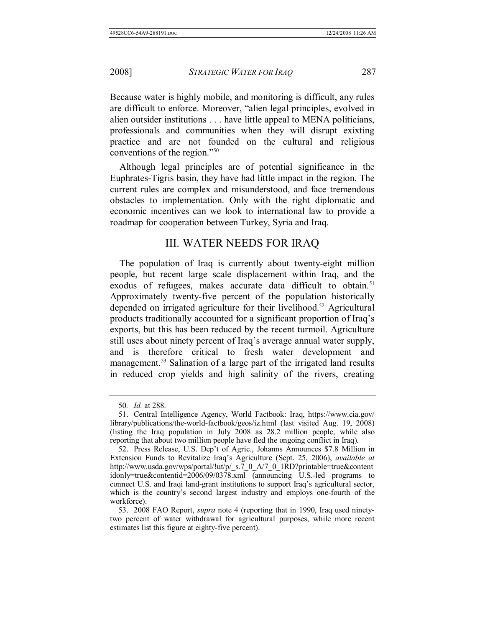Because water is highly mobile, and monitoring is difficult, any rules are difficult to enforce. Moreover, "alien legal principles, evolved in alien outsider institutions . . . have little appeal to MENA politicians, professionals and communities when they will disrupt exixting practice and are not founded on the cultural and religious conventions of the region."50

Although legal principles are of potential significance in the Euphrates-Tigris basin, they have had little impact in the region. The current rules are complex and misunderstood, and face tremendous obstacles to implementation. Only with the right diplomatic and economic incentives can we look to international law to provide a roadmap for cooperation between Turkey, Syria and Iraq.

#### III. WATER NEEDS FOR IRAQ

The population of Iraq is currently about twenty-eight million people, but recent large scale displacement within Iraq, and the exodus of refugees, makes accurate data difficult to obtain.<sup>51</sup> Approximately twenty-five percent of the population historically depended on irrigated agriculture for their livelihood.52 Agricultural products traditionally accounted for a significant proportion of Iraq's exports, but this has been reduced by the recent turmoil. Agriculture still uses about ninety percent of Iraq's average annual water supply, and is therefore critical to fresh water development and management.<sup>53</sup> Salination of a large part of the irrigated land results in reduced crop yields and high salinity of the rivers, creating

<sup>50</sup>*. Id.* at 288.

 <sup>51.</sup> Central Intelligence Agency, World Factbook: Iraq, https://www.cia.gov/ library/publications/the-world-factbook/geos/iz.html (last visited Aug. 19, 2008) (listing the Iraq population in July 2008 as 28.2 million people, while also reporting that about two million people have fled the ongoing conflict in Iraq).

 <sup>52.</sup> Press Release, U.S. Dep't of Agric., Johanns Announces \$7.8 Million in Extension Funds to Revitalize Iraq's Agriculture (Sept. 25, 2006), *available at* http://www.usda.gov/wps/portal/!ut/p/\_s.7\_0\_A/7\_0\_1RD?printable=true&content idonly=true&contentid=2006/09/0378.xml (announcing U.S.-led programs to connect U.S. and Iraqi land-grant institutions to support Iraq's agricultural sector, which is the country's second largest industry and employs one-fourth of the workforce).

 <sup>53. 2008</sup> FAO Report, *supra* note 4 (reporting that in 1990, Iraq used ninetytwo percent of water withdrawal for agricultural purposes, while more recent estimates list this figure at eighty-five percent).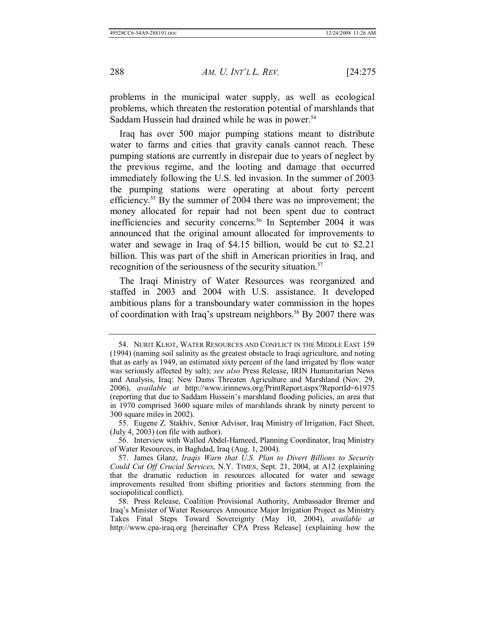problems in the municipal water supply, as well as ecological problems, which threaten the restoration potential of marshlands that Saddam Hussein had drained while he was in power.<sup>54</sup>

Iraq has over 500 major pumping stations meant to distribute water to farms and cities that gravity canals cannot reach. These pumping stations are currently in disrepair due to years of neglect by the previous regime, and the looting and damage that occurred immediately following the U.S. led invasion. In the summer of 2003 the pumping stations were operating at about forty percent efficiency.55 By the summer of 2004 there was no improvement; the money allocated for repair had not been spent due to contract inefficiencies and security concerns.<sup>56</sup> In September 2004 it was announced that the original amount allocated for improvements to water and sewage in Iraq of \$4.15 billion, would be cut to \$2.21 billion. This was part of the shift in American priorities in Iraq, and recognition of the seriousness of the security situation.<sup>57</sup>

The Iraqi Ministry of Water Resources was reorganized and staffed in 2003 and 2004 with U.S. assistance. It developed ambitious plans for a transboundary water commission in the hopes of coordination with Iraq's upstream neighbors.<sup>58</sup> By 2007 there was

 <sup>54.</sup> NURIT KLIOT, WATER RESOURCES AND CONFLICT IN THE MIDDLE EAST 159 (1994) (naming soil salinity as the greatest obstacle to Iraqi agriculture, and noting that as early as 1949, an estimated sixty percent of the land irrigated by flow water was seriously affected by salt); *see also* Press Release, IRIN Humanitarian News and Analysis, Iraq: New Dams Threaten Agriculture and Marshland (Nov. 29, 2006), *available at* http://www.irinnews.org/PrintReport.aspx?ReportId=61975 (reporting that due to Saddam Hussein's marshland flooding policies, an area that in 1970 comprised 3600 square miles of marshlands shrank by ninety percent to 300 square miles in 2002).

 <sup>55.</sup> Eugene Z. Stakhiv, Senior Advisor, Iraq Ministry of Irrigation, Fact Sheet, (July 4, 2003) (on file with author).

 <sup>56.</sup> Interview with Walled Abdel-Hameed, Planning Coordinator, Iraq Ministry of Water Resources, in Baghdad, Iraq (Aug. 1, 2004).

 <sup>57.</sup> James Glanz, *Iraqis Warn that U.S. Plan to Divert Billions to Security Could Cut Off Crucial Services*, N.Y. TIMES, Sept. 21, 2004, at A12 (explaining that the dramatic reduction in resources allocated for water and sewage improvements resulted from shifting priorities and factors stemming from the sociopolitical conflict).

 <sup>58.</sup> Press Release, Coalition Provisional Authority, Ambassador Bremer and Iraq's Minister of Water Resources Announce Major Irrigation Project as Ministry Takes Final Steps Toward Sovereignty (May 10, 2004), *available at* http://www.cpa-iraq.org [hereinafter CPA Press Release] (explaining how the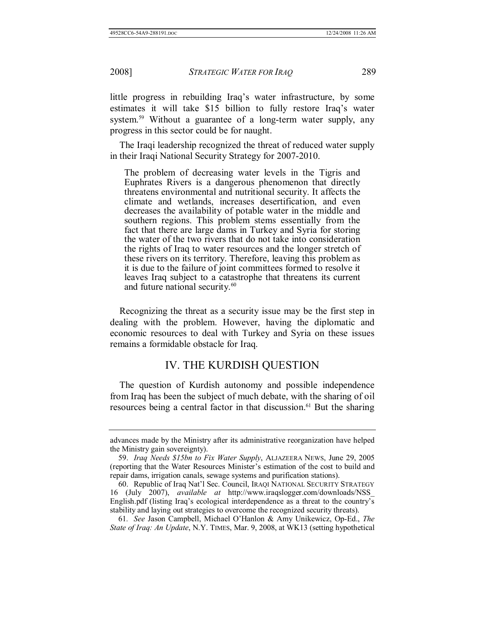little progress in rebuilding Iraq's water infrastructure, by some estimates it will take \$15 billion to fully restore Iraq's water system.<sup>59</sup> Without a guarantee of a long-term water supply, any progress in this sector could be for naught.

The Iraqi leadership recognized the threat of reduced water supply in their Iraqi National Security Strategy for 2007-2010.

The problem of decreasing water levels in the Tigris and Euphrates Rivers is a dangerous phenomenon that directly threatens environmental and nutritional security. It affects the climate and wetlands, increases desertification, and even decreases the availability of potable water in the middle and southern regions. This problem stems essentially from the fact that there are large dams in Turkey and Syria for storing the water of the two rivers that do not take into consideration the rights of Iraq to water resources and the longer stretch of these rivers on its territory. Therefore, leaving this problem as it is due to the failure of joint committees formed to resolve it leaves Iraq subject to a catastrophe that threatens its current and future national security.<sup>60</sup>

Recognizing the threat as a security issue may be the first step in dealing with the problem. However, having the diplomatic and economic resources to deal with Turkey and Syria on these issues remains a formidable obstacle for Iraq.

#### IV. THE KURDISH QUESTION

The question of Kurdish autonomy and possible independence from Iraq has been the subject of much debate, with the sharing of oil resources being a central factor in that discussion.<sup>61</sup> But the sharing

61*. See* Jason Campbell, Michael O'Hanlon & Amy Unikewicz, Op-Ed., *The State of Iraq: An Update*, N.Y. TIMES, Mar. 9, 2008, at WK13 (setting hypothetical

advances made by the Ministry after its administrative reorganization have helped the Ministry gain sovereignty).

 <sup>59.</sup> *Iraq Needs \$15bn to Fix Water Supply*, ALJAZEERA NEWS, June 29, 2005 (reporting that the Water Resources Minister's estimation of the cost to build and repair dams, irrigation canals, sewage systems and purification stations).

 <sup>60.</sup> Republic of Iraq Nat'l Sec. Council, IRAQI NATIONAL SECURITY STRATEGY 16 (July 2007), *available at* http://www.iraqslogger.com/downloads/NSS\_ English.pdf (listing Iraq's ecological interdependence as a threat to the country's stability and laying out strategies to overcome the recognized security threats).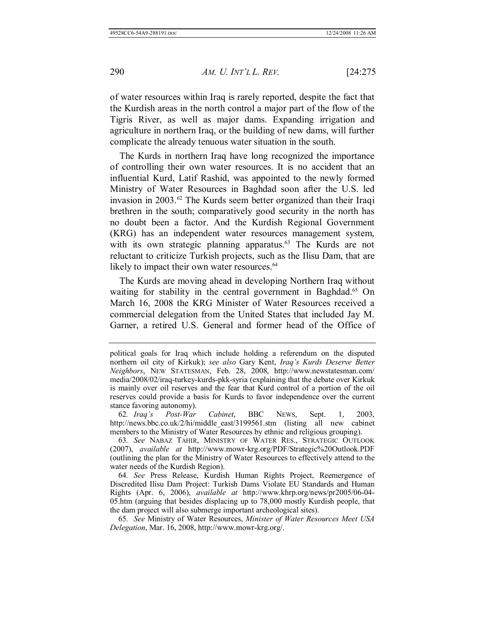of water resources within Iraq is rarely reported, despite the fact that the Kurdish areas in the north control a major part of the flow of the Tigris River, as well as major dams. Expanding irrigation and agriculture in northern Iraq, or the building of new dams, will further complicate the already tenuous water situation in the south.

The Kurds in northern Iraq have long recognized the importance of controlling their own water resources. It is no accident that an influential Kurd, Latif Rashid, was appointed to the newly formed Ministry of Water Resources in Baghdad soon after the U.S. led invasion in 2003.62 The Kurds seem better organized than their Iraqi brethren in the south; comparatively good security in the north has no doubt been a factor. And the Kurdish Regional Government (KRG) has an independent water resources management system, with its own strategic planning apparatus.<sup>63</sup> The Kurds are not reluctant to criticize Turkish projects, such as the Ilisu Dam, that are likely to impact their own water resources.<sup>64</sup>

The Kurds are moving ahead in developing Northern Iraq without waiting for stability in the central government in Baghdad.<sup>65</sup> On March 16, 2008 the KRG Minister of Water Resources received a commercial delegation from the United States that included Jay M. Garner, a retired U.S. General and former head of the Office of

62*. Iraq's Post-War Cabinet*, BBC NEWS, Sept. 1, 2003, http://news.bbc.co.uk/2/hi/middle\_east/3199561.stm (listing all new cabinet members to the Ministry of Water Resources by ethnic and religious grouping).

65*. See* Ministry of Water Resources, *Minister of Water Resources Meet USA Delegation*, Mar. 16, 2008, http://www.mowr-krg.org/.

political goals for Iraq which include holding a referendum on the disputed northern oil city of Kirkuk); *see also* Gary Kent, *Iraq's Kurds Deserve Better Neighbors*, NEW STATESMAN, Feb. 28, 2008, http://www.newstatesman.com/ media/2008/02/iraq-turkey-kurds-pkk-syria (explaining that the debate over Kirkuk is mainly over oil reserves and the fear that Kurd control of a portion of the oil reserves could provide a basis for Kurds to favor independence over the current stance favoring autonomy).

<sup>63</sup>*. See* NABAZ TAHIR, MINISTRY OF WATER RES., STRATEGIC OUTLOOK (2007), *available at* http://www.mowr-krg.org/PDF/Strategic%20Outlook.PDF (outlining the plan for the Ministry of Water Resources to effectively attend to the water needs of the Kurdish Region).

<sup>64</sup>*. See* Press Release, Kurdish Human Rights Project, Reemergence of Discredited Ilisu Dam Project: Turkish Dams Violate EU Standards and Human Rights (Apr. 6, 2006), *available at* http://www.khrp.org/news/pr2005/06-04- 05.htm (arguing that besides displacing up to 78,000 mostly Kurdish people, that the dam project will also submerge important archeological sites).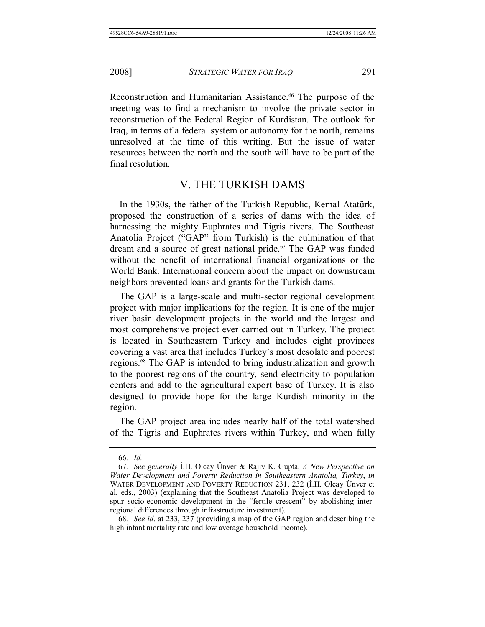Reconstruction and Humanitarian Assistance.<sup>66</sup> The purpose of the meeting was to find a mechanism to involve the private sector in reconstruction of the Federal Region of Kurdistan. The outlook for Iraq, in terms of a federal system or autonomy for the north, remains unresolved at the time of this writing. But the issue of water resources between the north and the south will have to be part of the final resolution.

#### V. THE TURKISH DAMS

In the 1930s, the father of the Turkish Republic, Kemal Atatürk, proposed the construction of a series of dams with the idea of harnessing the mighty Euphrates and Tigris rivers. The Southeast Anatolia Project ("GAP" from Turkish) is the culmination of that dream and a source of great national pride.<sup>67</sup> The GAP was funded without the benefit of international financial organizations or the World Bank. International concern about the impact on downstream neighbors prevented loans and grants for the Turkish dams.

The GAP is a large-scale and multi-sector regional development project with major implications for the region. It is one of the major river basin development projects in the world and the largest and most comprehensive project ever carried out in Turkey. The project is located in Southeastern Turkey and includes eight provinces covering a vast area that includes Turkey's most desolate and poorest regions.68 The GAP is intended to bring industrialization and growth to the poorest regions of the country, send electricity to population centers and add to the agricultural export base of Turkey. It is also designed to provide hope for the large Kurdish minority in the region.

The GAP project area includes nearly half of the total watershed of the Tigris and Euphrates rivers within Turkey, and when fully

<sup>66</sup>*. Id.*

<sup>67</sup>*. See generally* İ.H. Olcay Ünver & Rajiv K. Gupta, *A New Perspective on Water Development and Poverty Reduction in Southeastern Anatolia, Turkey*, *in* WATER DEVELOPMENT AND POVERTY REDUCTION 231, 232 (İ.H. Olcay Ünver et al. eds., 2003) (explaining that the Southeast Anatolia Project was developed to spur socio-economic development in the "fertile crescent" by abolishing interregional differences through infrastructure investment).

<sup>68</sup>*. See id*. at 233, 237 (providing a map of the GAP region and describing the high infant mortality rate and low average household income).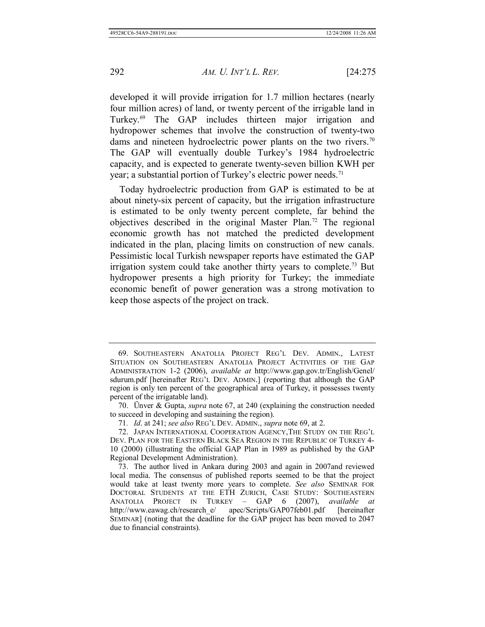developed it will provide irrigation for 1.7 million hectares (nearly four million acres) of land, or twenty percent of the irrigable land in Turkey.69 The GAP includes thirteen major irrigation and hydropower schemes that involve the construction of twenty-two dams and nineteen hydroelectric power plants on the two rivers.<sup>70</sup> The GAP will eventually double Turkey's 1984 hydroelectric capacity, and is expected to generate twenty-seven billion KWH per year; a substantial portion of Turkey's electric power needs.<sup>71</sup>

Today hydroelectric production from GAP is estimated to be at about ninety-six percent of capacity, but the irrigation infrastructure is estimated to be only twenty percent complete, far behind the objectives described in the original Master Plan.72 The regional economic growth has not matched the predicted development indicated in the plan, placing limits on construction of new canals. Pessimistic local Turkish newspaper reports have estimated the GAP irrigation system could take another thirty years to complete.<sup>73</sup> But hydropower presents a high priority for Turkey; the immediate economic benefit of power generation was a strong motivation to keep those aspects of the project on track.

71*. Id*. at 241; *see also* REG'L DEV. ADMIN., *supra* note 69, at 2.

 <sup>69.</sup> SOUTHEASTERN ANATOLIA PROJECT REG'L DEV. ADMIN., LATEST SITUATION ON SOUTHEASTERN ANATOLIA PROJECT ACTIVITIES OF THE GAP ADMINISTRATION 1-2 (2006), *available at* http://www.gap.gov.tr/English/Genel/ sdurum.pdf [hereinafter REG'L DEV. ADMIN.] (reporting that although the GAP region is only ten percent of the geographical area of Turkey, it possesses twenty percent of the irrigatable land).

 <sup>70.</sup> Ünver & Gupta, *supra* note 67, at 240 (explaining the construction needed to succeed in developing and sustaining the region).

 <sup>72.</sup> JAPAN INTERNATIONAL COOPERATION AGENCY,THE STUDY ON THE REG'L DEV. PLAN FOR THE EASTERN BLACK SEA REGION IN THE REPUBLIC OF TURKEY 4- 10 (2000) (illustrating the official GAP Plan in 1989 as published by the GAP Regional Development Administration).

 <sup>73.</sup> The author lived in Ankara during 2003 and again in 2007and reviewed local media. The consensus of published reports seemed to be that the project would take at least twenty more years to complete. *See also* SEMINAR FOR DOCTORAL STUDENTS AT THE ETH ZURICH, CASE STUDY: SOUTHEASTERN ANATOLIA PROJECT IN TURKEY – GAP 6 (2007), *available at*  http://www.eawag.ch/research\_e/ apec/Scripts/GAP07feb01.pdf [hereinafter SEMINAR] (noting that the deadline for the GAP project has been moved to 2047 due to financial constraints).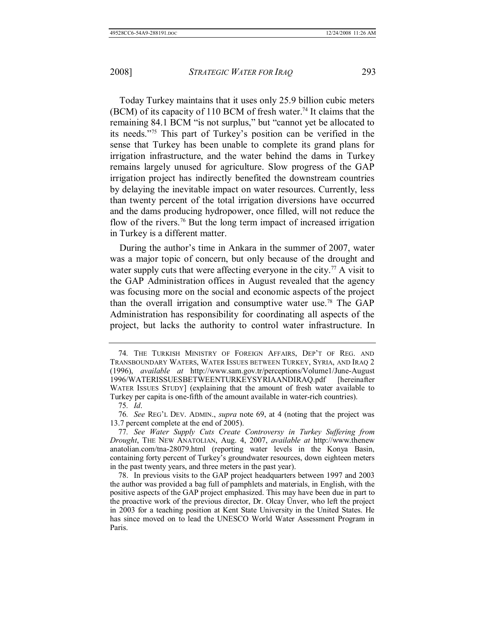Today Turkey maintains that it uses only 25.9 billion cubic meters (BCM) of its capacity of 110 BCM of fresh water.<sup>74</sup> It claims that the remaining 84.1 BCM "is not surplus," but "cannot yet be allocated to its needs."75 This part of Turkey's position can be verified in the sense that Turkey has been unable to complete its grand plans for irrigation infrastructure, and the water behind the dams in Turkey remains largely unused for agriculture. Slow progress of the GAP irrigation project has indirectly benefited the downstream countries by delaying the inevitable impact on water resources. Currently, less than twenty percent of the total irrigation diversions have occurred and the dams producing hydropower, once filled, will not reduce the flow of the rivers.<sup>76</sup> But the long term impact of increased irrigation in Turkey is a different matter.

During the author's time in Ankara in the summer of 2007, water was a major topic of concern, but only because of the drought and water supply cuts that were affecting everyone in the city.<sup>77</sup> A visit to the GAP Administration offices in August revealed that the agency was focusing more on the social and economic aspects of the project than the overall irrigation and consumptive water use.78 The GAP Administration has responsibility for coordinating all aspects of the project, but lacks the authority to control water infrastructure. In

<sup>74</sup>*.* THE TURKISH MINISTRY OF FOREIGN AFFAIRS, DEP'T OF REG. AND TRANSBOUNDARY WATERS, WATER ISSUES BETWEEN TURKEY, SYRIA, AND IRAQ 2 (1996), *available at* http://www.sam.gov.tr/perceptions/Volume1/June-August 1996/WATERISSUESBETWEENTURKEYSYRIAANDIRAQ.pdf [hereinafter WATER ISSUES STUDY] (explaining that the amount of fresh water available to Turkey per capita is one-fifth of the amount available in water-rich countries).

<sup>75</sup>*. Id*.

<sup>76</sup>*. See* REG'L DEV. ADMIN., *supra* note 69, at 4 (noting that the project was 13.7 percent complete at the end of 2005).

<sup>77</sup>*. See Water Supply Cuts Create Controversy in Turkey Suffering from Drought*, THE NEW ANATOLIAN, Aug. 4, 2007, *available at* http://www.thenew anatolian.com/tna-28079.html (reporting water levels in the Konya Basin, containing forty percent of Turkey's groundwater resources, down eighteen meters in the past twenty years, and three meters in the past year).

 <sup>78.</sup> In previous visits to the GAP project headquarters between 1997 and 2003 the author was provided a bag full of pamphlets and materials, in English, with the positive aspects of the GAP project emphasized. This may have been due in part to the proactive work of the previous director, Dr. Olcay Ünver, who left the project in 2003 for a teaching position at Kent State University in the United States. He has since moved on to lead the UNESCO World Water Assessment Program in Paris.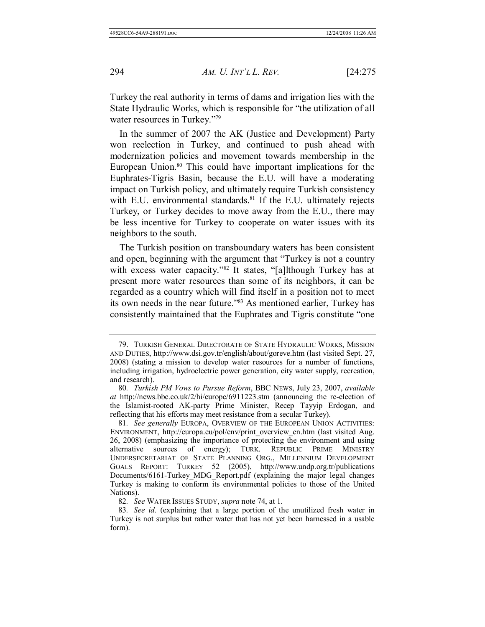Turkey the real authority in terms of dams and irrigation lies with the State Hydraulic Works, which is responsible for "the utilization of all water resources in Turkey."79

In the summer of 2007 the AK (Justice and Development) Party won reelection in Turkey, and continued to push ahead with modernization policies and movement towards membership in the European Union.<sup>80</sup> This could have important implications for the Euphrates-Tigris Basin, because the E.U. will have a moderating impact on Turkish policy, and ultimately require Turkish consistency with E.U. environmental standards. $81$  If the E.U. ultimately rejects Turkey, or Turkey decides to move away from the E.U., there may be less incentive for Turkey to cooperate on water issues with its neighbors to the south.

The Turkish position on transboundary waters has been consistent and open, beginning with the argument that "Turkey is not a country with excess water capacity."<sup>82</sup> It states, "[a]lthough Turkey has at present more water resources than some of its neighbors, it can be regarded as a country which will find itself in a position not to meet its own needs in the near future."83 As mentioned earlier, Turkey has consistently maintained that the Euphrates and Tigris constitute "one

 <sup>79.</sup> TURKISH GENERAL DIRECTORATE OF STATE HYDRAULIC WORKS, MISSION AND DUTIES, http://www.dsi.gov.tr/english/about/goreve.htm (last visited Sept. 27, 2008) (stating a mission to develop water resources for a number of functions, including irrigation, hydroelectric power generation, city water supply, recreation, and research).

<sup>80</sup>*. Turkish PM Vows to Pursue Reform*, BBC NEWS, July 23, 2007, *available at* http://news.bbc.co.uk/2/hi/europe/6911223.stm (announcing the re-election of the Islamist-rooted AK-party Prime Minister, Recep Tayyip Erdogan, and reflecting that his efforts may meet resistance from a secular Turkey).

<sup>81</sup>*. See generally* EUROPA, OVERVIEW OF THE EUROPEAN UNION ACTIVITIES: ENVIRONMENT, http://europa.eu/pol/env/print\_overview\_en.htm (last visited Aug. 26, 2008) (emphasizing the importance of protecting the environment and using alternative sources of energy); TURK. REPUBLIC PRIME MINISTRY UNDERSECRETARIAT OF STATE PLANNING ORG., MILLENNIUM DEVELOPMENT GOALS REPORT: TURKEY 52 (2005), http://www.undp.org.tr/publications Documents/6161-Turkey\_MDG\_Report.pdf (explaining the major legal changes Turkey is making to conform its environmental policies to those of the United Nations).

<sup>82</sup>*. See* WATER ISSUES STUDY, *supra* note 74, at 1.

<sup>83</sup>*. See id.* (explaining that a large portion of the unutilized fresh water in Turkey is not surplus but rather water that has not yet been harnessed in a usable form).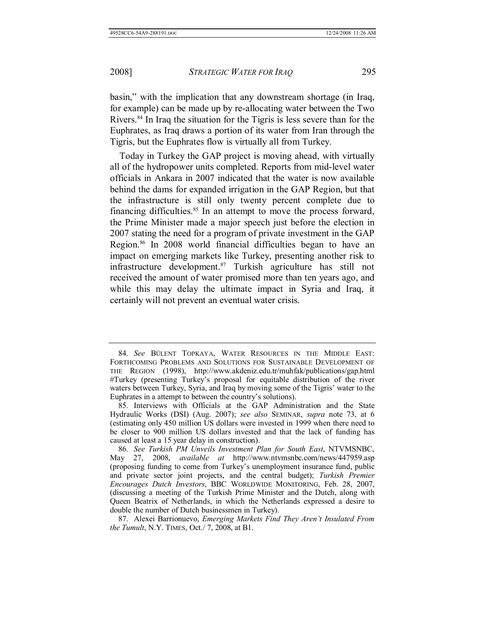basin," with the implication that any downstream shortage (in Iraq, for example) can be made up by re-allocating water between the Two Rivers.<sup>84</sup> In Iraq the situation for the Tigris is less severe than for the Euphrates, as Iraq draws a portion of its water from Iran through the Tigris, but the Euphrates flow is virtually all from Turkey.

Today in Turkey the GAP project is moving ahead, with virtually all of the hydropower units completed. Reports from mid-level water officials in Ankara in 2007 indicated that the water is now available behind the dams for expanded irrigation in the GAP Region, but that the infrastructure is still only twenty percent complete due to financing difficulties. $85$  In an attempt to move the process forward, the Prime Minister made a major speech just before the election in 2007 stating the need for a program of private investment in the GAP Region.86 In 2008 world financial difficulties began to have an impact on emerging markets like Turkey, presenting another risk to infrastructure development.87 Turkish agriculture has still not received the amount of water promised more than ten years ago, and while this may delay the ultimate impact in Syria and Iraq, it certainly will not prevent an eventual water crisis.

<sup>84</sup>*. See* BÜLENT TOPKAYA, WATER RESOURCES IN THE MIDDLE EAST: FORTHCOMING PROBLEMS AND SOLUTIONS FOR SUSTAINABLE DEVELOPMENT OF THE REGION (1998), http://www.akdeniz.edu.tr/muhfak/publications/gap.html #Turkey (presenting Turkey's proposal for equitable distribution of the river waters between Turkey, Syria, and Iraq by moving some of the Tigris' water to the Euphrates in a attempt to between the country's solutions).

 <sup>85.</sup> Interviews with Officials at the GAP Administration and the State Hydraulic Works (DSI) (Aug. 2007); *see also* SEMINAR, *supra* note 73, at 6 (estimating only 450 million US dollars were invested in 1999 when there need to be closer to 900 million US dollars invested and that the lack of funding has caused at least a 15 year delay in construction).

<sup>86</sup>*. See Turkish PM Unveils Investment Plan for South East*, NTVMSNBC, May 27, 2008, *available at* http://www.ntvmsnbc.com/news/447959.asp (proposing funding to come from Turkey's unemployment insurance fund, public and private sector joint projects, and the central budget); *Turkish Premier Encourages Dutch Investors*, BBC WORLDWIDE MONITORING, Feb. 28, 2007, (discussing a meeting of the Turkish Prime Minister and the Dutch, along with Queen Beatrix of Netherlands, in which the Netherlands expressed a desire to double the number of Dutch businessmen in Turkey).

 <sup>87.</sup> Alexei Barrionuevo, *Emerging Markets Find They Aren't Insulated From the Tumult*, N.Y. TIMES, Oct./ 7, 2008, at B1.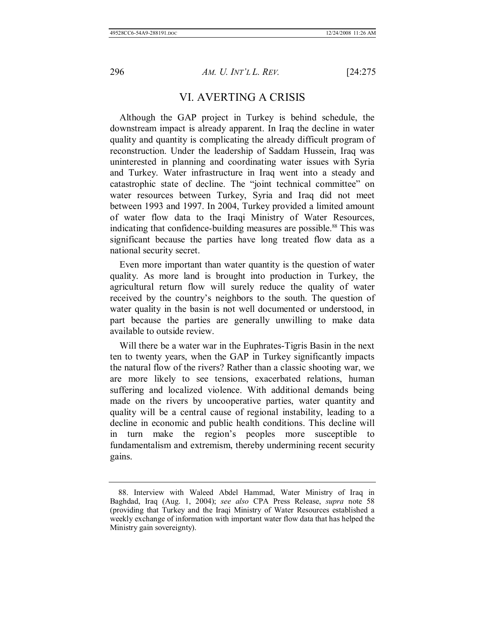#### VI. AVERTING A CRISIS

Although the GAP project in Turkey is behind schedule, the downstream impact is already apparent. In Iraq the decline in water quality and quantity is complicating the already difficult program of reconstruction. Under the leadership of Saddam Hussein, Iraq was uninterested in planning and coordinating water issues with Syria and Turkey. Water infrastructure in Iraq went into a steady and catastrophic state of decline. The "joint technical committee" on water resources between Turkey, Syria and Iraq did not meet between 1993 and 1997. In 2004, Turkey provided a limited amount of water flow data to the Iraqi Ministry of Water Resources, indicating that confidence-building measures are possible.<sup>88</sup> This was significant because the parties have long treated flow data as a national security secret.

Even more important than water quantity is the question of water quality. As more land is brought into production in Turkey, the agricultural return flow will surely reduce the quality of water received by the country's neighbors to the south. The question of water quality in the basin is not well documented or understood, in part because the parties are generally unwilling to make data available to outside review.

Will there be a water war in the Euphrates-Tigris Basin in the next ten to twenty years, when the GAP in Turkey significantly impacts the natural flow of the rivers? Rather than a classic shooting war, we are more likely to see tensions, exacerbated relations, human suffering and localized violence. With additional demands being made on the rivers by uncooperative parties, water quantity and quality will be a central cause of regional instability, leading to a decline in economic and public health conditions. This decline will in turn make the region's peoples more susceptible to fundamentalism and extremism, thereby undermining recent security gains.

 <sup>88.</sup> Interview with Waleed Abdel Hammad, Water Ministry of Iraq in Baghdad, Iraq (Aug. 1, 2004); *see also* CPA Press Release, *supra* note 58 (providing that Turkey and the Iraqi Ministry of Water Resources established a weekly exchange of information with important water flow data that has helped the Ministry gain sovereignty).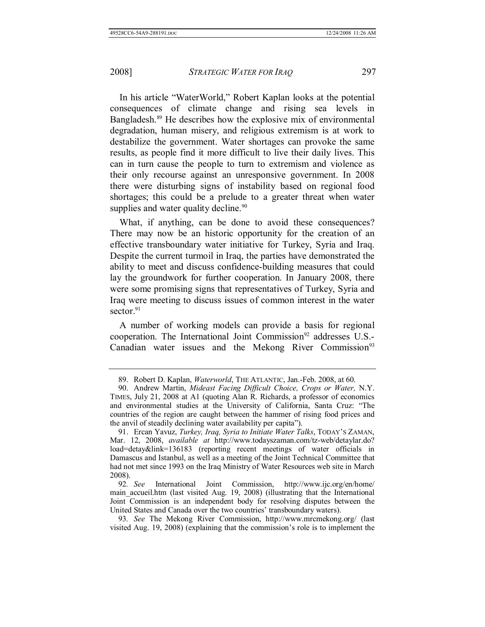In his article "WaterWorld," Robert Kaplan looks at the potential consequences of climate change and rising sea levels in Bangladesh.<sup>89</sup> He describes how the explosive mix of environmental degradation, human misery, and religious extremism is at work to destabilize the government. Water shortages can provoke the same results, as people find it more difficult to live their daily lives. This can in turn cause the people to turn to extremism and violence as their only recourse against an unresponsive government. In 2008 there were disturbing signs of instability based on regional food shortages; this could be a prelude to a greater threat when water supplies and water quality decline.<sup>90</sup>

What, if anything, can be done to avoid these consequences? There may now be an historic opportunity for the creation of an effective transboundary water initiative for Turkey, Syria and Iraq. Despite the current turmoil in Iraq, the parties have demonstrated the ability to meet and discuss confidence-building measures that could lay the groundwork for further cooperation. In January 2008, there were some promising signs that representatives of Turkey, Syria and Iraq were meeting to discuss issues of common interest in the water sector. $91$ 

A number of working models can provide a basis for regional cooperation. The International Joint Commission<sup>92</sup> addresses U.S.-Canadian water issues and the Mekong River Commission<sup>93</sup>

 <sup>89.</sup> Robert D. Kaplan, *Waterworld*, THE ATLANTIC, Jan.-Feb. 2008, at 60.

 <sup>90.</sup> Andrew Martin, *Mideast Facing Difficult Choice, Crops or Water,* N.Y. TIMES, July 21, 2008 at A1 (quoting Alan R. Richards, a professor of economics and environmental studies at the University of California, Santa Cruz: "The countries of the region are caught between the hammer of rising food prices and the anvil of steadily declining water availability per capita").

 <sup>91.</sup> Ercan Yavuz, *Turkey, Iraq, Syria to Initiate Water Talks*, TODAY'S ZAMAN, Mar. 12, 2008, *available at* http://www.todayszaman.com/tz-web/detaylar.do? load=detay&link=136183 (reporting recent meetings of water officials in Damascus and Istanbul, as well as a meeting of the Joint Technical Committee that had not met since 1993 on the Iraq Ministry of Water Resources web site in March 2008).

<sup>92</sup>*. See* International Joint Commission, http://www.ijc.org/en/home/ main\_accueil.htm (last visited Aug. 19, 2008) (illustrating that the International Joint Commission is an independent body for resolving disputes between the United States and Canada over the two countries' transboundary waters).

<sup>93</sup>*. See* The Mekong River Commission, http://www.mrcmekong.org/ (last visited Aug. 19, 2008) (explaining that the commission's role is to implement the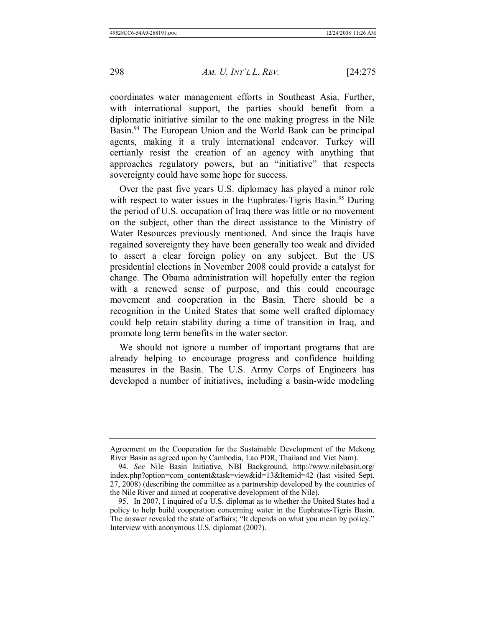coordinates water management efforts in Southeast Asia. Further, with international support, the parties should benefit from a diplomatic initiative similar to the one making progress in the Nile Basin.<sup>94</sup> The European Union and the World Bank can be principal agents, making it a truly international endeavor. Turkey will certianly resist the creation of an agency with anything that approaches regulatory powers, but an "initiative" that respects sovereignty could have some hope for success.

Over the past five years U.S. diplomacy has played a minor role with respect to water issues in the Euphrates-Tigris Basin.<sup>95</sup> During the period of U.S. occupation of Iraq there was little or no movement on the subject, other than the direct assistance to the Ministry of Water Resources previously mentioned. And since the Iraqis have regained sovereignty they have been generally too weak and divided to assert a clear foreign policy on any subject. But the US presidential elections in November 2008 could provide a catalyst for change. The Obama administration will hopefully enter the region with a renewed sense of purpose, and this could encourage movement and cooperation in the Basin. There should be a recognition in the United States that some well crafted diplomacy could help retain stability during a time of transition in Iraq, and promote long term benefits in the water sector.

We should not ignore a number of important programs that are already helping to encourage progress and confidence building measures in the Basin. The U.S. Army Corps of Engineers has developed a number of initiatives, including a basin-wide modeling

Agreement on the Cooperation for the Sustainable Development of the Mekong River Basin as agreed upon by Cambodia, Lao PDR, Thailand and Viet Nam).

 <sup>94.</sup> *See* Nile Basin Initiative, NBI Background, http://www.nilebasin.org/ index.php?option=com\_content&task=view&id=13&Itemid=42 (last visited Sept. 27, 2008) (describing the committee as a partnership developed by the countries of the Nile River and aimed at cooperative development of the Nile).

 <sup>95.</sup> In 2007, I inquired of a U.S. diplomat as to whether the United States had a policy to help build cooperation concerning water in the Euphrates-Tigris Basin. The answer revealed the state of affairs; "It depends on what you mean by policy." Interview with anonymous U.S. diplomat (2007).